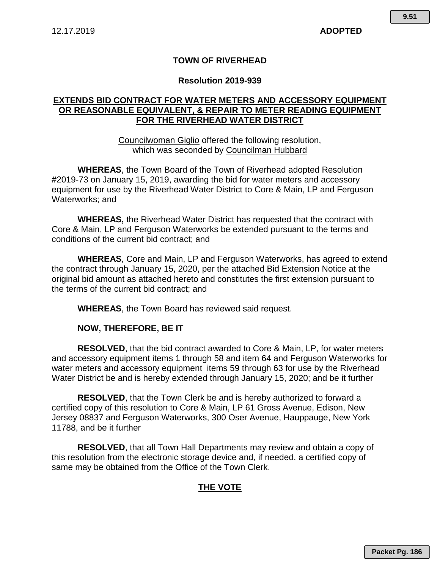#### **TOWN OF RIVERHEAD**

#### **Resolution 2019-939**

## **EXTENDS BID CONTRACT FOR WATER METERS AND ACCESSORY EQUIPMENT OR REASONABLE EQUIVALENT, & REPAIR TO METER READING EQUIPMENT FOR THE RIVERHEAD WATER DISTRICT**

Councilwoman Giglio offered the following resolution, which was seconded by Councilman Hubbard

**WHEREAS**, the Town Board of the Town of Riverhead adopted Resolution #2019-73 on January 15, 2019, awarding the bid for water meters and accessory equipment for use by the Riverhead Water District to Core & Main, LP and Ferguson Waterworks; and

**WHEREAS,** the Riverhead Water District has requested that the contract with Core & Main, LP and Ferguson Waterworks be extended pursuant to the terms and conditions of the current bid contract; and

**WHEREAS**, Core and Main, LP and Ferguson Waterworks, has agreed to extend the contract through January 15, 2020, per the attached Bid Extension Notice at the original bid amount as attached hereto and constitutes the first extension pursuant to the terms of the current bid contract; and

**WHEREAS**, the Town Board has reviewed said request.

#### **NOW, THEREFORE, BE IT**

**RESOLVED**, that the bid contract awarded to Core & Main, LP, for water meters and accessory equipment items 1 through 58 and item 64 and Ferguson Waterworks for water meters and accessory equipment items 59 through 63 for use by the Riverhead Water District be and is hereby extended through January 15, 2020; and be it further

**RESOLVED**, that the Town Clerk be and is hereby authorized to forward a certified copy of this resolution to Core & Main, LP 61 Gross Avenue, Edison, New Jersey 08837 and Ferguson Waterworks, 300 Oser Avenue, Hauppauge, New York 11788, and be it further

**RESOLVED**, that all Town Hall Departments may review and obtain a copy of this resolution from the electronic storage device and, if needed, a certified copy of same may be obtained from the Office of the Town Clerk.

#### **THE VOTE**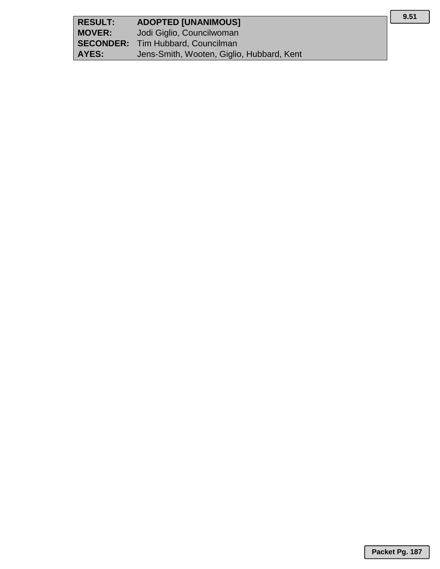| <b>RESULT:</b> | <b>ADOPTED [UNANIMOUS]</b>                |
|----------------|-------------------------------------------|
| <b>MOVER:</b>  | Jodi Giglio, Councilwoman                 |
|                | <b>SECONDER:</b> Tim Hubbard, Councilman  |
| AYES:          | Jens-Smith, Wooten, Giglio, Hubbard, Kent |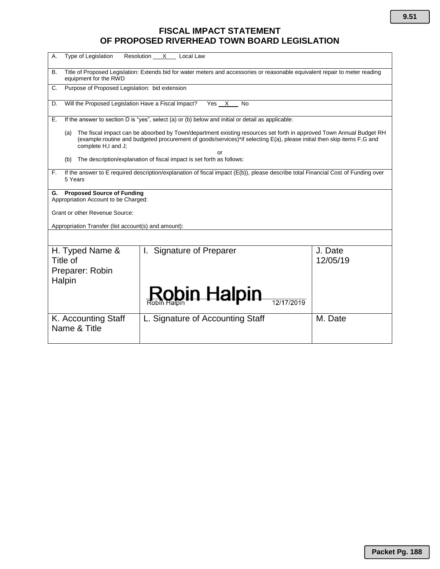# **FISCAL IMPACT STATEMENT OF PROPOSED RIVERHEAD TOWN BOARD LEGISLATION**

| Type of Legislation<br>Resolution<br>Α.<br>X<br>Local Law                                                                                                                                                                                                                         |                                    |                     |  |
|-----------------------------------------------------------------------------------------------------------------------------------------------------------------------------------------------------------------------------------------------------------------------------------|------------------------------------|---------------------|--|
| Title of Proposed Legislation: Extends bid for water meters and accessories or reasonable equivalent repair to meter reading<br>В.<br>equipment for the RWD                                                                                                                       |                                    |                     |  |
| Purpose of Proposed Legislation: bid extension<br>C.                                                                                                                                                                                                                              |                                    |                     |  |
| Will the Proposed Legislation Have a Fiscal Impact?<br>Yes X No<br>D.                                                                                                                                                                                                             |                                    |                     |  |
| If the answer to section D is "yes", select (a) or (b) below and initial or detail as applicable:<br>Е.                                                                                                                                                                           |                                    |                     |  |
| The fiscal impact can be absorbed by Town/department existing resources set forth in approved Town Annual Budget RH<br>(a)<br>(example:routine and budgeted procurement of goods/services)*if selecting E(a), please initial then skip items F,G and<br>complete H,I and J;<br>or |                                    |                     |  |
| The description/explanation of fiscal impact is set forth as follows:<br>(b)                                                                                                                                                                                                      |                                    |                     |  |
| If the answer to E required description/explanation of fiscal impact (E(b)), please describe total Financial Cost of Funding over<br>F.<br>5 Years                                                                                                                                |                                    |                     |  |
| <b>Proposed Source of Funding</b><br>G.<br>Appropriation Account to be Charged:                                                                                                                                                                                                   |                                    |                     |  |
| Grant or other Revenue Source:                                                                                                                                                                                                                                                    |                                    |                     |  |
| Appropriation Transfer (list account(s) and amount):                                                                                                                                                                                                                              |                                    |                     |  |
|                                                                                                                                                                                                                                                                                   |                                    |                     |  |
| H. Typed Name &<br>Title of                                                                                                                                                                                                                                                       | <b>Signature of Preparer</b><br>L. | J. Date<br>12/05/19 |  |
| Preparer: Robin                                                                                                                                                                                                                                                                   |                                    |                     |  |
| Halpin                                                                                                                                                                                                                                                                            |                                    |                     |  |
|                                                                                                                                                                                                                                                                                   | <b>Robin Halpin</b>                |                     |  |
| K. Accounting Staff                                                                                                                                                                                                                                                               | L. Signature of Accounting Staff   | M. Date             |  |
| Name & Title                                                                                                                                                                                                                                                                      |                                    |                     |  |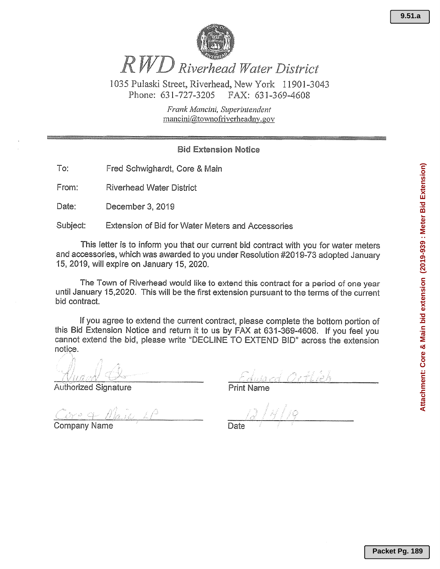

RWD Riverhead Water District

1035 Pulaski Street, Riverhead, New York 11901-3043 Phone: 631-727-3205 FAX: 631-369-4608

> Frank Mancini, Superintendent mancini@townofriverheadny.gov

## **Bid Extension Notice**

To: Fred Schwighardt, Core & Main

From: **Riverhead Water District** 

Date: December 3, 2019

Subject: Extension of Bid for Water Meters and Accessories

This letter is to inform you that our current bid contract with you for water meters and accessories, which was awarded to you under Resolution #2019-73 adopted January 15, 2019, will expire on January 15, 2020.

The Town of Riverhead would like to extend this contract for a period of one year until January 15,2020. This will be the first extension pursuant to the terms of the current bid contract.

If you agree to extend the current contract, please complete the bottom portion of this Bid Extension Notice and return it to us by FAX at 631-369-4608. If you feel you cannot extend the bid, please write "DECLINE TO EXTEND BID" across the extension notice.

**Authorized Signature** 

**Company Name** 

**Print Name**